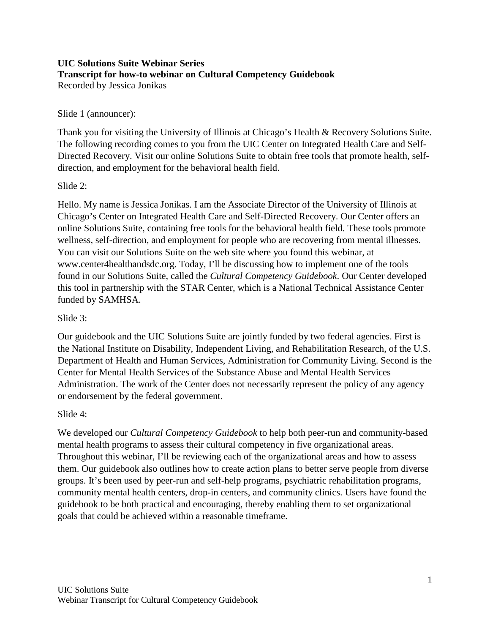#### **UIC Solutions Suite Webinar Series Transcript for how-to webinar on Cultural Competency Guidebook** Recorded by Jessica Jonikas

### Slide 1 (announcer):

Thank you for visiting the University of Illinois at Chicago's Health & Recovery Solutions Suite. The following recording comes to you from the UIC Center on Integrated Health Care and Self-Directed Recovery. Visit our online Solutions Suite to obtain free tools that promote health, selfdirection, and employment for the behavioral health field.

### Slide 2:

Hello. My name is Jessica Jonikas. I am the Associate Director of the University of Illinois at Chicago's Center on Integrated Health Care and Self-Directed Recovery. Our Center offers an online Solutions Suite, containing free tools for the behavioral health field. These tools promote wellness, self-direction, and employment for people who are recovering from mental illnesses. You can visit our Solutions Suite on the web site where you found this webinar, at www.center4healthandsdc.org. Today, I'll be discussing how to implement one of the tools found in our Solutions Suite, called the *Cultural Competency Guidebook*. Our Center developed this tool in partnership with the STAR Center, which is a National Technical Assistance Center funded by SAMHSA.

## Slide 3:

Our guidebook and the UIC Solutions Suite are jointly funded by two federal agencies. First is the National Institute on Disability, Independent Living, and Rehabilitation Research, of the U.S. Department of Health and Human Services, Administration for Community Living. Second is the Center for Mental Health Services of the Substance Abuse and Mental Health Services Administration. The work of the Center does not necessarily represent the policy of any agency or endorsement by the federal government.

### Slide 4:

We developed our *Cultural Competency Guidebook* to help both peer-run and community-based mental health programs to assess their cultural competency in five organizational areas. Throughout this webinar, I'll be reviewing each of the organizational areas and how to assess them. Our guidebook also outlines how to create action plans to better serve people from diverse groups. It's been used by peer-run and self-help programs, psychiatric rehabilitation programs, community mental health centers, drop-in centers, and community clinics. Users have found the guidebook to be both practical and encouraging, thereby enabling them to set organizational goals that could be achieved within a reasonable timeframe.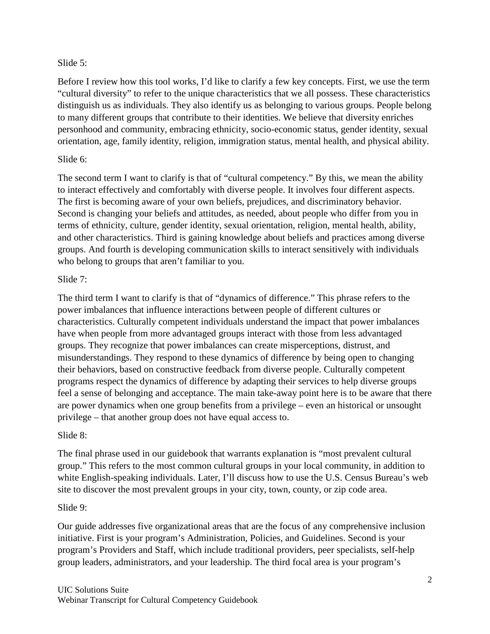#### Slide 5:

Before I review how this tool works, I'd like to clarify a few key concepts. First, we use the term "cultural diversity" to refer to the unique characteristics that we all possess. These characteristics distinguish us as individuals. They also identify us as belonging to various groups. People belong to many different groups that contribute to their identities. We believe that diversity enriches personhood and community, embracing ethnicity, socio-economic status, gender identity, sexual orientation, age, family identity, religion, immigration status, mental health, and physical ability.

### Slide 6:

The second term I want to clarify is that of "cultural competency." By this, we mean the ability to interact effectively and comfortably with diverse people. It involves four different aspects. The first is becoming aware of your own beliefs, prejudices, and discriminatory behavior. Second is changing your beliefs and attitudes, as needed, about people who differ from you in terms of ethnicity, culture, gender identity, sexual orientation, religion, mental health, ability, and other characteristics. Third is gaining knowledge about beliefs and practices among diverse groups. And fourth is developing communication skills to interact sensitively with individuals who belong to groups that aren't familiar to you.

### Slide 7:

The third term I want to clarify is that of "dynamics of difference." This phrase refers to the power imbalances that influence interactions between people of different cultures or characteristics. Culturally competent individuals understand the impact that power imbalances have when people from more advantaged groups interact with those from less advantaged groups. They recognize that power imbalances can create misperceptions, distrust, and misunderstandings. They respond to these dynamics of difference by being open to changing their behaviors, based on constructive feedback from diverse people. Culturally competent programs respect the dynamics of difference by adapting their services to help diverse groups feel a sense of belonging and acceptance. The main take-away point here is to be aware that there are power dynamics when one group benefits from a privilege – even an historical or unsought privilege – that another group does not have equal access to.

### Slide 8:

The final phrase used in our guidebook that warrants explanation is "most prevalent cultural group." This refers to the most common cultural groups in your local community, in addition to white English-speaking individuals. Later, I'll discuss how to use the U.S. Census Bureau's web site to discover the most prevalent groups in your city, town, county, or zip code area.

### Slide 9:

Our guide addresses five organizational areas that are the focus of any comprehensive inclusion initiative. First is your program's Administration, Policies, and Guidelines. Second is your program's Providers and Staff, which include traditional providers, peer specialists, self-help group leaders, administrators, and your leadership. The third focal area is your program's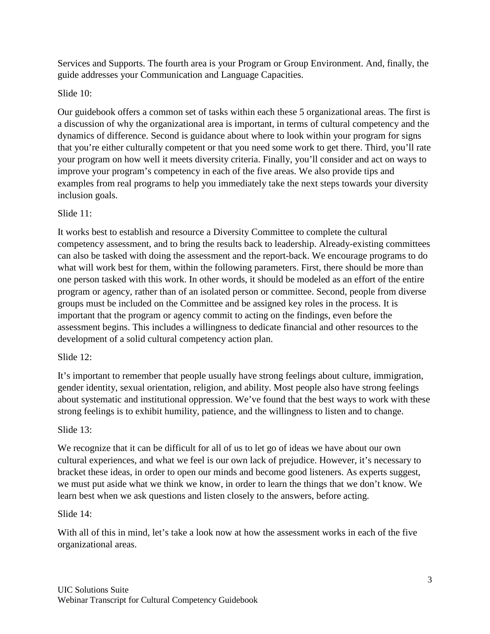Services and Supports. The fourth area is your Program or Group Environment. And, finally, the guide addresses your Communication and Language Capacities.

# Slide 10:

Our guidebook offers a common set of tasks within each these 5 organizational areas. The first is a discussion of why the organizational area is important, in terms of cultural competency and the dynamics of difference. Second is guidance about where to look within your program for signs that you're either culturally competent or that you need some work to get there. Third, you'll rate your program on how well it meets diversity criteria. Finally, you'll consider and act on ways to improve your program's competency in each of the five areas. We also provide tips and examples from real programs to help you immediately take the next steps towards your diversity inclusion goals.

### Slide 11:

It works best to establish and resource a Diversity Committee to complete the cultural competency assessment, and to bring the results back to leadership. Already-existing committees can also be tasked with doing the assessment and the report-back. We encourage programs to do what will work best for them, within the following parameters. First, there should be more than one person tasked with this work. In other words, it should be modeled as an effort of the entire program or agency, rather than of an isolated person or committee. Second, people from diverse groups must be included on the Committee and be assigned key roles in the process. It is important that the program or agency commit to acting on the findings, even before the assessment begins. This includes a willingness to dedicate financial and other resources to the development of a solid cultural competency action plan.

### Slide 12:

It's important to remember that people usually have strong feelings about culture, immigration, gender identity, sexual orientation, religion, and ability. Most people also have strong feelings about systematic and institutional oppression. We've found that the best ways to work with these strong feelings is to exhibit humility, patience, and the willingness to listen and to change.

### Slide 13:

We recognize that it can be difficult for all of us to let go of ideas we have about our own cultural experiences, and what we feel is our own lack of prejudice. However, it's necessary to bracket these ideas, in order to open our minds and become good listeners. As experts suggest, we must put aside what we think we know, in order to learn the things that we don't know. We learn best when we ask questions and listen closely to the answers, before acting.

### Slide 14:

With all of this in mind, let's take a look now at how the assessment works in each of the five organizational areas.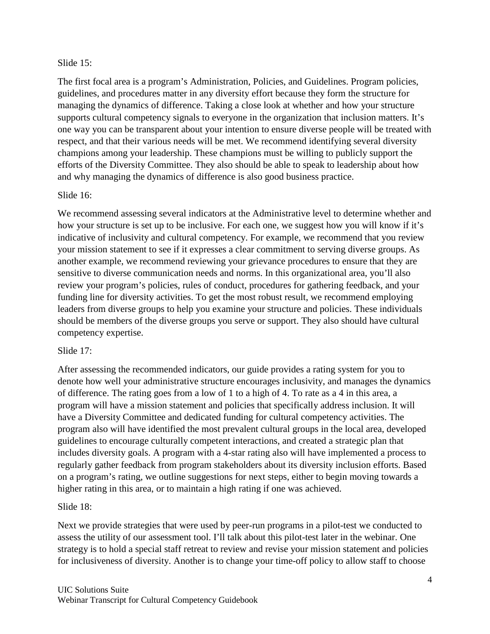#### Slide 15:

The first focal area is a program's Administration, Policies, and Guidelines. Program policies, guidelines, and procedures matter in any diversity effort because they form the structure for managing the dynamics of difference. Taking a close look at whether and how your structure supports cultural competency signals to everyone in the organization that inclusion matters. It's one way you can be transparent about your intention to ensure diverse people will be treated with respect, and that their various needs will be met. We recommend identifying several diversity champions among your leadership. These champions must be willing to publicly support the efforts of the Diversity Committee. They also should be able to speak to leadership about how and why managing the dynamics of difference is also good business practice.

#### Slide 16:

We recommend assessing several indicators at the Administrative level to determine whether and how your structure is set up to be inclusive. For each one, we suggest how you will know if it's indicative of inclusivity and cultural competency. For example, we recommend that you review your mission statement to see if it expresses a clear commitment to serving diverse groups. As another example, we recommend reviewing your grievance procedures to ensure that they are sensitive to diverse communication needs and norms. In this organizational area, you'll also review your program's policies, rules of conduct, procedures for gathering feedback, and your funding line for diversity activities. To get the most robust result, we recommend employing leaders from diverse groups to help you examine your structure and policies. These individuals should be members of the diverse groups you serve or support. They also should have cultural competency expertise.

#### Slide 17:

After assessing the recommended indicators, our guide provides a rating system for you to denote how well your administrative structure encourages inclusivity, and manages the dynamics of difference. The rating goes from a low of 1 to a high of 4. To rate as a 4 in this area, a program will have a mission statement and policies that specifically address inclusion. It will have a Diversity Committee and dedicated funding for cultural competency activities. The program also will have identified the most prevalent cultural groups in the local area, developed guidelines to encourage culturally competent interactions, and created a strategic plan that includes diversity goals. A program with a 4-star rating also will have implemented a process to regularly gather feedback from program stakeholders about its diversity inclusion efforts. Based on a program's rating, we outline suggestions for next steps, either to begin moving towards a higher rating in this area, or to maintain a high rating if one was achieved.

#### Slide 18:

Next we provide strategies that were used by peer-run programs in a pilot-test we conducted to assess the utility of our assessment tool. I'll talk about this pilot-test later in the webinar. One strategy is to hold a special staff retreat to review and revise your mission statement and policies for inclusiveness of diversity. Another is to change your time-off policy to allow staff to choose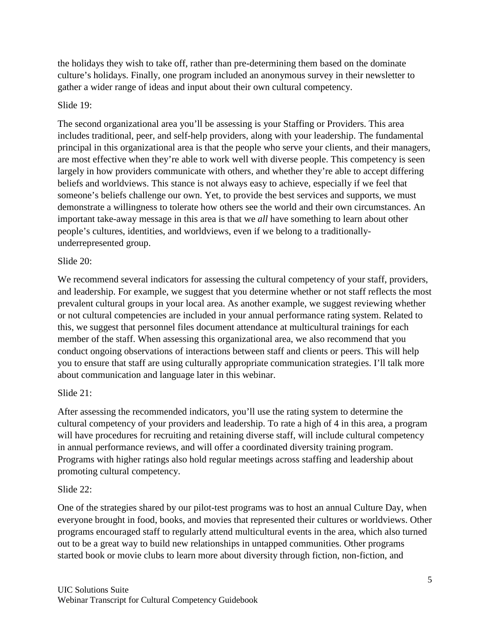the holidays they wish to take off, rather than pre-determining them based on the dominate culture's holidays. Finally, one program included an anonymous survey in their newsletter to gather a wider range of ideas and input about their own cultural competency.

#### Slide 19:

The second organizational area you'll be assessing is your Staffing or Providers. This area includes traditional, peer, and self-help providers, along with your leadership. The fundamental principal in this organizational area is that the people who serve your clients, and their managers, are most effective when they're able to work well with diverse people. This competency is seen largely in how providers communicate with others, and whether they're able to accept differing beliefs and worldviews. This stance is not always easy to achieve, especially if we feel that someone's beliefs challenge our own. Yet, to provide the best services and supports, we must demonstrate a willingness to tolerate how others see the world and their own circumstances. An important take-away message in this area is that we *all* have something to learn about other people's cultures, identities, and worldviews, even if we belong to a traditionallyunderrepresented group.

#### Slide 20:

We recommend several indicators for assessing the cultural competency of your staff, providers, and leadership. For example, we suggest that you determine whether or not staff reflects the most prevalent cultural groups in your local area. As another example, we suggest reviewing whether or not cultural competencies are included in your annual performance rating system. Related to this, we suggest that personnel files document attendance at multicultural trainings for each member of the staff. When assessing this organizational area, we also recommend that you conduct ongoing observations of interactions between staff and clients or peers. This will help you to ensure that staff are using culturally appropriate communication strategies. I'll talk more about communication and language later in this webinar.

### Slide 21:

After assessing the recommended indicators, you'll use the rating system to determine the cultural competency of your providers and leadership. To rate a high of 4 in this area, a program will have procedures for recruiting and retaining diverse staff, will include cultural competency in annual performance reviews, and will offer a coordinated diversity training program. Programs with higher ratings also hold regular meetings across staffing and leadership about promoting cultural competency.

#### Slide 22:

One of the strategies shared by our pilot-test programs was to host an annual Culture Day, when everyone brought in food, books, and movies that represented their cultures or worldviews. Other programs encouraged staff to regularly attend multicultural events in the area, which also turned out to be a great way to build new relationships in untapped communities. Other programs started book or movie clubs to learn more about diversity through fiction, non-fiction, and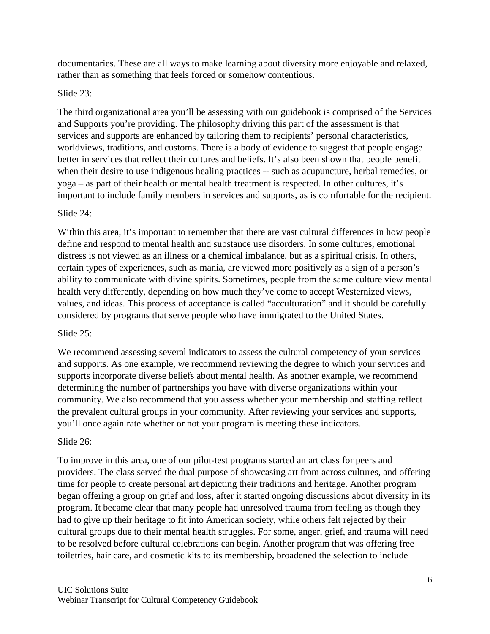documentaries. These are all ways to make learning about diversity more enjoyable and relaxed, rather than as something that feels forced or somehow contentious.

#### Slide 23:

The third organizational area you'll be assessing with our guidebook is comprised of the Services and Supports you're providing. The philosophy driving this part of the assessment is that services and supports are enhanced by tailoring them to recipients' personal characteristics, worldviews, traditions, and customs. There is a body of evidence to suggest that people engage better in services that reflect their cultures and beliefs. It's also been shown that people benefit when their desire to use indigenous healing practices -- such as acupuncture, herbal remedies, or yoga – as part of their health or mental health treatment is respected. In other cultures, it's important to include family members in services and supports, as is comfortable for the recipient.

#### Slide 24:

Within this area, it's important to remember that there are vast cultural differences in how people define and respond to mental health and substance use disorders. In some cultures, emotional distress is not viewed as an illness or a chemical imbalance, but as a spiritual crisis. In others, certain types of experiences, such as mania, are viewed more positively as a sign of a person's ability to communicate with divine spirits. Sometimes, people from the same culture view mental health very differently, depending on how much they've come to accept Westernized views, values, and ideas. This process of acceptance is called "acculturation" and it should be carefully considered by programs that serve people who have immigrated to the United States.

#### Slide 25:

We recommend assessing several indicators to assess the cultural competency of your services and supports. As one example, we recommend reviewing the degree to which your services and supports incorporate diverse beliefs about mental health. As another example, we recommend determining the number of partnerships you have with diverse organizations within your community. We also recommend that you assess whether your membership and staffing reflect the prevalent cultural groups in your community. After reviewing your services and supports, you'll once again rate whether or not your program is meeting these indicators.

### Slide 26:

To improve in this area, one of our pilot-test programs started an art class for peers and providers. The class served the dual purpose of showcasing art from across cultures, and offering time for people to create personal art depicting their traditions and heritage. Another program began offering a group on grief and loss, after it started ongoing discussions about diversity in its program. It became clear that many people had unresolved trauma from feeling as though they had to give up their heritage to fit into American society, while others felt rejected by their cultural groups due to their mental health struggles. For some, anger, grief, and trauma will need to be resolved before cultural celebrations can begin. Another program that was offering free toiletries, hair care, and cosmetic kits to its membership, broadened the selection to include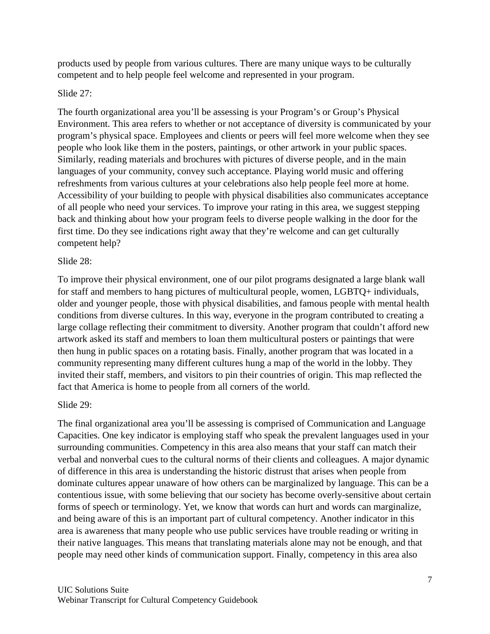products used by people from various cultures. There are many unique ways to be culturally competent and to help people feel welcome and represented in your program.

## Slide 27:

The fourth organizational area you'll be assessing is your Program's or Group's Physical Environment. This area refers to whether or not acceptance of diversity is communicated by your program's physical space. Employees and clients or peers will feel more welcome when they see people who look like them in the posters, paintings, or other artwork in your public spaces. Similarly, reading materials and brochures with pictures of diverse people, and in the main languages of your community, convey such acceptance. Playing world music and offering refreshments from various cultures at your celebrations also help people feel more at home. Accessibility of your building to people with physical disabilities also communicates acceptance of all people who need your services. To improve your rating in this area, we suggest stepping back and thinking about how your program feels to diverse people walking in the door for the first time. Do they see indications right away that they're welcome and can get culturally competent help?

## Slide 28:

To improve their physical environment, one of our pilot programs designated a large blank wall for staff and members to hang pictures of multicultural people, women, LGBTQ+ individuals, older and younger people, those with physical disabilities, and famous people with mental health conditions from diverse cultures. In this way, everyone in the program contributed to creating a large collage reflecting their commitment to diversity. Another program that couldn't afford new artwork asked its staff and members to loan them multicultural posters or paintings that were then hung in public spaces on a rotating basis. Finally, another program that was located in a community representing many different cultures hung a map of the world in the lobby. They invited their staff, members, and visitors to pin their countries of origin. This map reflected the fact that America is home to people from all corners of the world.

### Slide 29:

The final organizational area you'll be assessing is comprised of Communication and Language Capacities. One key indicator is employing staff who speak the prevalent languages used in your surrounding communities. Competency in this area also means that your staff can match their verbal and nonverbal cues to the cultural norms of their clients and colleagues. A major dynamic of difference in this area is understanding the historic distrust that arises when people from dominate cultures appear unaware of how others can be marginalized by language. This can be a contentious issue, with some believing that our society has become overly-sensitive about certain forms of speech or terminology. Yet, we know that words can hurt and words can marginalize, and being aware of this is an important part of cultural competency. Another indicator in this area is awareness that many people who use public services have trouble reading or writing in their native languages. This means that translating materials alone may not be enough, and that people may need other kinds of communication support. Finally, competency in this area also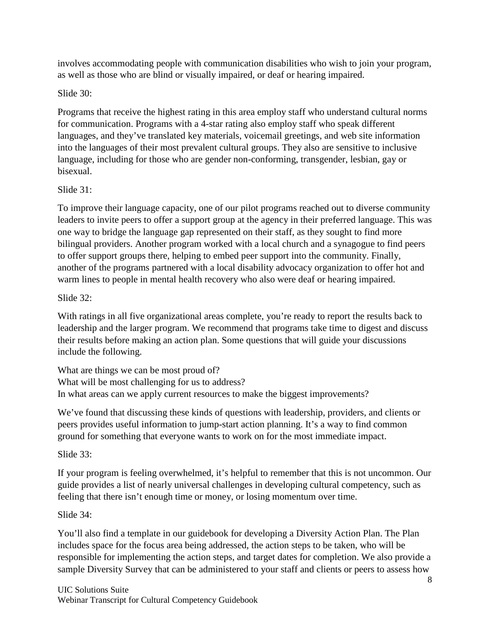involves accommodating people with communication disabilities who wish to join your program, as well as those who are blind or visually impaired, or deaf or hearing impaired.

## Slide 30:

Programs that receive the highest rating in this area employ staff who understand cultural norms for communication. Programs with a 4-star rating also employ staff who speak different languages, and they've translated key materials, voicemail greetings, and web site information into the languages of their most prevalent cultural groups. They also are sensitive to inclusive language, including for those who are gender non-conforming, transgender, lesbian, gay or bisexual.

## Slide 31:

To improve their language capacity, one of our pilot programs reached out to diverse community leaders to invite peers to offer a support group at the agency in their preferred language. This was one way to bridge the language gap represented on their staff, as they sought to find more bilingual providers. Another program worked with a local church and a synagogue to find peers to offer support groups there, helping to embed peer support into the community. Finally, another of the programs partnered with a local disability advocacy organization to offer hot and warm lines to people in mental health recovery who also were deaf or hearing impaired.

## Slide 32:

With ratings in all five organizational areas complete, you're ready to report the results back to leadership and the larger program. We recommend that programs take time to digest and discuss their results before making an action plan. Some questions that will guide your discussions include the following.

What are things we can be most proud of? What will be most challenging for us to address? In what areas can we apply current resources to make the biggest improvements?

We've found that discussing these kinds of questions with leadership, providers, and clients or peers provides useful information to jump-start action planning. It's a way to find common ground for something that everyone wants to work on for the most immediate impact.

# Slide 33:

If your program is feeling overwhelmed, it's helpful to remember that this is not uncommon. Our guide provides a list of nearly universal challenges in developing cultural competency, such as feeling that there isn't enough time or money, or losing momentum over time.

# Slide 34:

You'll also find a template in our guidebook for developing a Diversity Action Plan. The Plan includes space for the focus area being addressed, the action steps to be taken, who will be responsible for implementing the action steps, and target dates for completion. We also provide a sample Diversity Survey that can be administered to your staff and clients or peers to assess how